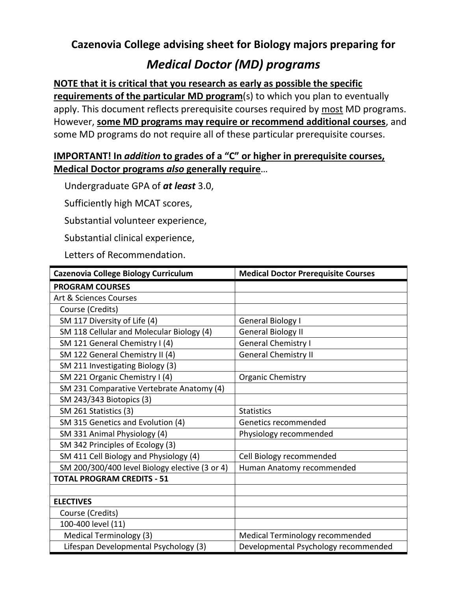## **Cazenovia College advising sheet for Biology majors preparing for**

## *Medical Doctor (MD) programs*

## **NOTE that it is critical that you research as early as possible the specific**

**requirements of the particular MD program**(s) to which you plan to eventually apply. This document reflects prerequisite courses required by most MD programs. However, **some MD programs may require or recommend additional courses**, and some MD programs do not require all of these particular prerequisite courses.

## **IMPORTANT! In** *addition* **to grades of a "C" or higher in prerequisite courses, Medical Doctor programs** *also* **generally require**…

Undergraduate GPA of *at least* 3.0,

Sufficiently high MCAT scores,

Substantial volunteer experience,

Substantial clinical experience,

Letters of Recommendation.

| Cazenovia College Biology Curriculum           | <b>Medical Doctor Prerequisite Courses</b> |
|------------------------------------------------|--------------------------------------------|
| <b>PROGRAM COURSES</b>                         |                                            |
| Art & Sciences Courses                         |                                            |
| Course (Credits)                               |                                            |
| SM 117 Diversity of Life (4)                   | General Biology I                          |
| SM 118 Cellular and Molecular Biology (4)      | <b>General Biology II</b>                  |
| SM 121 General Chemistry I (4)                 | <b>General Chemistry I</b>                 |
| SM 122 General Chemistry II (4)                | <b>General Chemistry II</b>                |
| SM 211 Investigating Biology (3)               |                                            |
| SM 221 Organic Chemistry I (4)                 | <b>Organic Chemistry</b>                   |
| SM 231 Comparative Vertebrate Anatomy (4)      |                                            |
| SM 243/343 Biotopics (3)                       |                                            |
| SM 261 Statistics (3)                          | <b>Statistics</b>                          |
| SM 315 Genetics and Evolution (4)              | Genetics recommended                       |
| SM 331 Animal Physiology (4)                   | Physiology recommended                     |
| SM 342 Principles of Ecology (3)               |                                            |
| SM 411 Cell Biology and Physiology (4)         | Cell Biology recommended                   |
| SM 200/300/400 level Biology elective (3 or 4) | Human Anatomy recommended                  |
| <b>TOTAL PROGRAM CREDITS - 51</b>              |                                            |
|                                                |                                            |
| <b>ELECTIVES</b>                               |                                            |
| Course (Credits)                               |                                            |
| 100-400 level (11)                             |                                            |
| <b>Medical Terminology (3)</b>                 | Medical Terminology recommended            |
| Lifespan Developmental Psychology (3)          | Developmental Psychology recommended       |